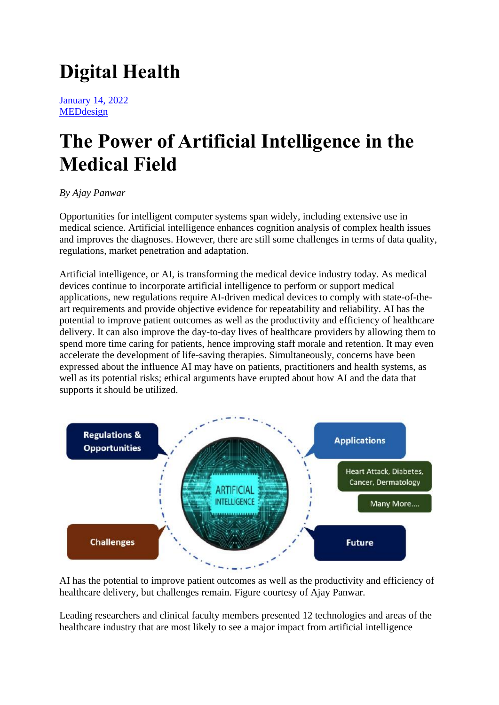# **Digital Health**

[January 14, 2022](https://www.medtechintelligence.com/column/the-power-of-artificial-intelligence-in-the-medical-field/) [MEDdesign](https://www.medtechintelligence.com/category/meddesign/)

## **The Power of Artificial Intelligence in the Medical Field**

#### *By Ajay Panwar*

Opportunities for intelligent computer systems span widely, including extensive use in medical science. Artificial intelligence enhances cognition analysis of complex health issues and improves the diagnoses. However, there are still some challenges in terms of data quality, regulations, market penetration and adaptation.

Artificial intelligence, or AI, is transforming the medical device industry today. As medical devices continue to incorporate artificial intelligence to perform or support medical applications, new regulations require AI-driven medical devices to comply with state-of-theart requirements and provide objective evidence for repeatability and reliability. AI has the potential to improve patient outcomes as well as the productivity and efficiency of healthcare delivery. It can also improve the day-to-day lives of healthcare providers by allowing them to spend more time caring for patients, hence improving staff morale and retention. It may even accelerate the development of life-saving therapies. Simultaneously, concerns have been expressed about the influence AI may have on patients, practitioners and health systems, as well as its potential risks; ethical arguments have erupted about how AI and the data that supports it should be utilized.



AI has the potential to improve patient outcomes as well as the productivity and efficiency of healthcare delivery, but challenges remain. Figure courtesy of Ajay Panwar.

Leading researchers and clinical faculty members presented 12 technologies and areas of the healthcare industry that are most likely to see a major impact from artificial intelligence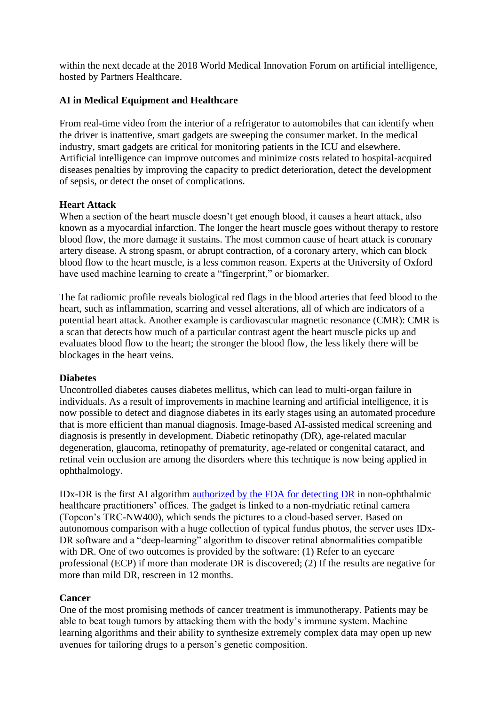within the next decade at the 2018 World Medical Innovation Forum on artificial intelligence, hosted by Partners Healthcare.

#### **AI in Medical Equipment and Healthcare**

From real-time video from the interior of a refrigerator to automobiles that can identify when the driver is inattentive, smart gadgets are sweeping the consumer market. In the medical industry, smart gadgets are critical for monitoring patients in the ICU and elsewhere. Artificial intelligence can improve outcomes and minimize costs related to hospital-acquired diseases penalties by improving the capacity to predict deterioration, detect the development of sepsis, or detect the onset of complications.

#### **Heart Attack**

When a section of the heart muscle doesn't get enough blood, it causes a heart attack, also known as a myocardial infarction. The longer the heart muscle goes without therapy to restore blood flow, the more damage it sustains. The most common cause of heart attack is coronary artery disease. A strong spasm, or abrupt contraction, of a coronary artery, which can block blood flow to the heart muscle, is a less common reason. Experts at the University of Oxford have used machine learning to create a "fingerprint," or biomarker.

The fat radiomic profile reveals biological red flags in the blood arteries that feed blood to the heart, such as inflammation, scarring and vessel alterations, all of which are indicators of a potential heart attack. Another example is cardiovascular magnetic resonance (CMR): CMR is a scan that detects how much of a particular contrast agent the heart muscle picks up and evaluates blood flow to the heart; the stronger the blood flow, the less likely there will be blockages in the heart veins.

#### **Diabetes**

Uncontrolled diabetes causes diabetes mellitus, which can lead to multi-organ failure in individuals. As a result of improvements in machine learning and artificial intelligence, it is now possible to detect and diagnose diabetes in its early stages using an automated procedure that is more efficient than manual diagnosis. Image-based AI-assisted medical screening and diagnosis is presently in development. Diabetic retinopathy (DR), age-related macular degeneration, glaucoma, retinopathy of prematurity, age-related or congenital cataract, and retinal vein occlusion are among the disorders where this technique is now being applied in ophthalmology.

IDx-DR is the first AI algorithm [authorized by the FDA for detecting DR](https://www.fda.gov/news-events/press-announcements/fda-permits-marketing-artificial-intelligence-based-device-detect-certain-diabetes-related-eye) in non-ophthalmic healthcare practitioners' offices. The gadget is linked to a non-mydriatic retinal camera (Topcon's TRC-NW400), which sends the pictures to a cloud-based server. Based on autonomous comparison with a huge collection of typical fundus photos, the server uses IDx-DR software and a "deep-learning" algorithm to discover retinal abnormalities compatible with DR. One of two outcomes is provided by the software: (1) Refer to an eyecare professional (ECP) if more than moderate DR is discovered; (2) If the results are negative for more than mild DR, rescreen in 12 months.

#### **Cancer**

One of the most promising methods of cancer treatment is immunotherapy. Patients may be able to beat tough tumors by attacking them with the body's immune system. Machine learning algorithms and their ability to synthesize extremely complex data may open up new avenues for tailoring drugs to a person's genetic composition.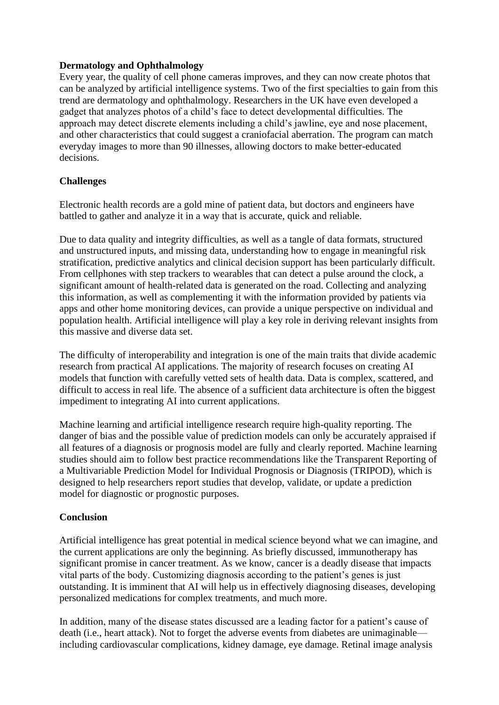#### **Dermatology and Ophthalmology**

Every year, the quality of cell phone cameras improves, and they can now create photos that can be analyzed by artificial intelligence systems. Two of the first specialties to gain from this trend are dermatology and ophthalmology. Researchers in the UK have even developed a gadget that analyzes photos of a child's face to detect developmental difficulties. The approach may detect discrete elements including a child's jawline, eye and nose placement, and other characteristics that could suggest a craniofacial aberration. The program can match everyday images to more than 90 illnesses, allowing doctors to make better-educated decisions.

#### **Challenges**

Electronic health records are a gold mine of patient data, but doctors and engineers have battled to gather and analyze it in a way that is accurate, quick and reliable.

Due to data quality and integrity difficulties, as well as a tangle of data formats, structured and unstructured inputs, and missing data, understanding how to engage in meaningful risk stratification, predictive analytics and clinical decision support has been particularly difficult. From cellphones with step trackers to wearables that can detect a pulse around the clock, a significant amount of health-related data is generated on the road. Collecting and analyzing this information, as well as complementing it with the information provided by patients via apps and other home monitoring devices, can provide a unique perspective on individual and population health. Artificial intelligence will play a key role in deriving relevant insights from this massive and diverse data set.

The difficulty of interoperability and integration is one of the main traits that divide academic research from practical AI applications. The majority of research focuses on creating AI models that function with carefully vetted sets of health data. Data is complex, scattered, and difficult to access in real life. The absence of a sufficient data architecture is often the biggest impediment to integrating AI into current applications.

Machine learning and artificial intelligence research require high-quality reporting. The danger of bias and the possible value of prediction models can only be accurately appraised if all features of a diagnosis or prognosis model are fully and clearly reported. Machine learning studies should aim to follow best practice recommendations like the Transparent Reporting of a Multivariable Prediction Model for Individual Prognosis or Diagnosis (TRIPOD), which is designed to help researchers report studies that develop, validate, or update a prediction model for diagnostic or prognostic purposes.

#### **Conclusion**

Artificial intelligence has great potential in medical science beyond what we can imagine, and the current applications are only the beginning. As briefly discussed, immunotherapy has significant promise in cancer treatment. As we know, cancer is a deadly disease that impacts vital parts of the body. Customizing diagnosis according to the patient's genes is just outstanding. It is imminent that AI will help us in effectively diagnosing diseases, developing personalized medications for complex treatments, and much more.

In addition, many of the disease states discussed are a leading factor for a patient's cause of death (i.e., heart attack). Not to forget the adverse events from diabetes are unimaginable including cardiovascular complications, kidney damage, eye damage. Retinal image analysis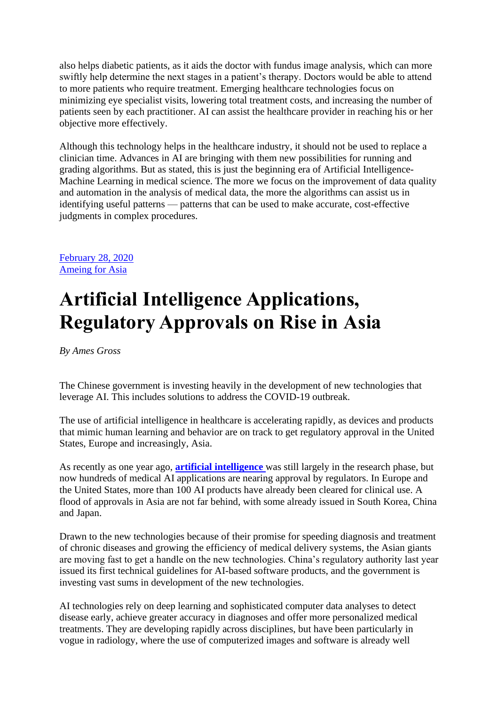also helps diabetic patients, as it aids the doctor with fundus image analysis, which can more swiftly help determine the next stages in a patient's therapy. Doctors would be able to attend to more patients who require treatment. Emerging healthcare technologies focus on minimizing eye specialist visits, lowering total treatment costs, and increasing the number of patients seen by each practitioner. AI can assist the healthcare provider in reaching his or her objective more effectively.

Although this technology helps in the healthcare industry, it should not be used to replace a clinician time. Advances in AI are bringing with them new possibilities for running and grading algorithms. But as stated, this is just the beginning era of Artificial Intelligence-Machine Learning in medical science. The more we focus on the improvement of data quality and automation in the analysis of medical data, the more the algorithms can assist us in identifying useful patterns — patterns that can be used to make accurate, cost-effective judgments in complex procedures.

[February 28, 2020](https://www.medtechintelligence.com/column/artificial-intelligence-applications-regulatory-approvals-on-rise-in-asia/) [Ameing for Asia](https://www.medtechintelligence.com/category/ameing-for-asia/)

### **Artificial Intelligence Applications, Regulatory Approvals on Rise in Asia**

*By Ames Gross*

The Chinese government is investing heavily in the development of new technologies that leverage AI. This includes solutions to address the COVID-19 outbreak.

The use of artificial intelligence in healthcare is accelerating rapidly, as devices and products that mimic human learning and behavior are on track to get regulatory approval in the United States, Europe and increasingly, Asia.

As recently as one year ago, **[artificial intelligence](https://www.medtechintelligence.com/column/asian-medtech-competitors-move-into-artificial-intelligence-market/)** was still largely in the research phase, but now hundreds of medical AI applications are nearing approval by regulators. In Europe and the United States, more than 100 AI products have already been cleared for clinical use. A flood of approvals in Asia are not far behind, with some already issued in South Korea, China and Japan.

Drawn to the new technologies because of their promise for speeding diagnosis and treatment of chronic diseases and growing the efficiency of medical delivery systems, the Asian giants are moving fast to get a handle on the new technologies. China's regulatory authority last year issued its first technical guidelines for AI-based software products, and the government is investing vast sums in development of the new technologies.

AI technologies rely on deep learning and sophisticated computer data analyses to detect disease early, achieve greater accuracy in diagnoses and offer more personalized medical treatments. They are developing rapidly across disciplines, but have been particularly in vogue in radiology, where the use of computerized images and software is already well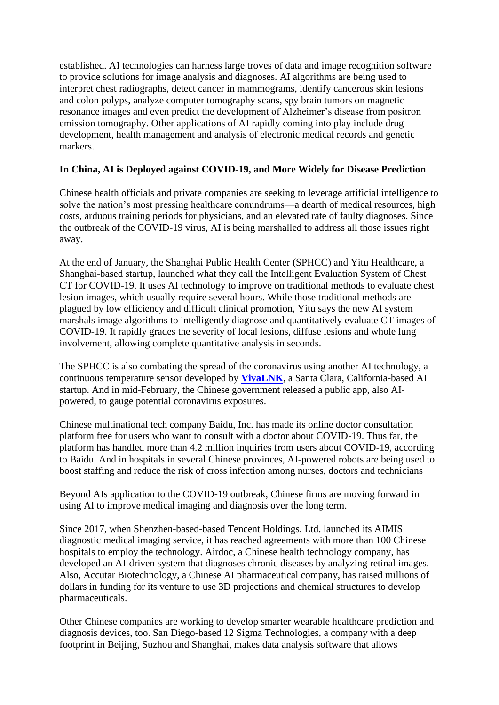established. AI technologies can harness large troves of data and image recognition software to provide solutions for image analysis and diagnoses. AI algorithms are being used to interpret chest radiographs, detect cancer in mammograms, identify cancerous skin lesions and colon polyps, analyze computer tomography scans, spy brain tumors on magnetic resonance images and even predict the development of Alzheimer's disease from positron emission tomography. Other applications of AI rapidly coming into play include drug development, health management and analysis of electronic medical records and genetic markers.

#### **In China, AI is Deployed against COVID-19, and More Widely for Disease Prediction**

Chinese health officials and private companies are seeking to leverage artificial intelligence to solve the nation's most pressing healthcare conundrums—a dearth of medical resources, high costs, arduous training periods for physicians, and an elevated rate of faulty diagnoses. Since the outbreak of the COVID-19 virus, AI is being marshalled to address all those issues right away.

At the end of January, the Shanghai Public Health Center (SPHCC) and Yitu Healthcare, a Shanghai-based startup, launched what they call the Intelligent Evaluation System of Chest CT for COVID-19. It uses AI technology to improve on traditional methods to evaluate chest lesion images, which usually require several hours. While those traditional methods are plagued by low efficiency and difficult clinical promotion, Yitu says the new AI system marshals image algorithms to intelligently diagnose and quantitatively evaluate CT images of COVID-19. It rapidly grades the severity of local lesions, diffuse lesions and whole lung involvement, allowing complete quantitative analysis in seconds.

The SPHCC is also combating the spread of the coronavirus using another AI technology, a continuous temperature sensor developed by **[VivaLNK](https://www.medtechintelligence.com/column/medical-wearable-sensor-and-software-platform-driving-healthcare-applications-in-remote-patient-monitoring/)**, a Santa Clara, California-based AI startup. And in mid-February, the Chinese government released a public app, also AIpowered, to gauge potential coronavirus exposures.

Chinese multinational tech company Baidu, Inc. has made its online doctor consultation platform free for users who want to consult with a doctor about COVID-19. Thus far, the platform has handled more than 4.2 million inquiries from users about COVID-19, according to Baidu. And in hospitals in several Chinese provinces, AI-powered robots are being used to boost staffing and reduce the risk of cross infection among nurses, doctors and technicians

Beyond AIs application to the COVID-19 outbreak, Chinese firms are moving forward in using AI to improve medical imaging and diagnosis over the long term.

Since 2017, when Shenzhen-based-based Tencent Holdings, Ltd. launched its AIMIS diagnostic medical imaging service, it has reached agreements with more than 100 Chinese hospitals to employ the technology. Airdoc, a Chinese health technology company, has developed an AI-driven system that diagnoses chronic diseases by analyzing retinal images. Also, Accutar Biotechnology, a Chinese AI pharmaceutical company, has raised millions of dollars in funding for its venture to use 3D projections and chemical structures to develop pharmaceuticals.

Other Chinese companies are working to develop smarter wearable healthcare prediction and diagnosis devices, too. San Diego-based 12 Sigma Technologies, a company with a deep footprint in Beijing, Suzhou and Shanghai, makes data analysis software that allows